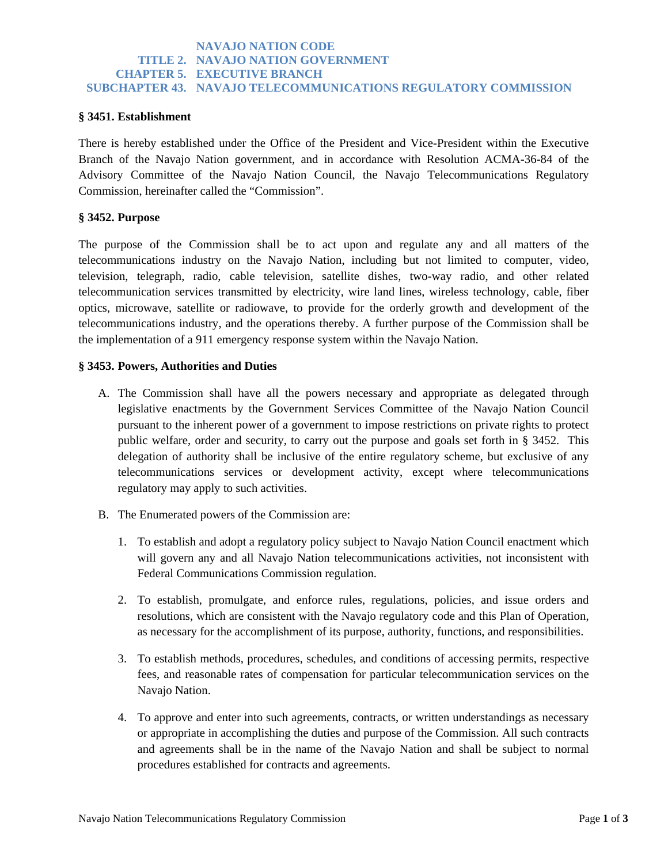# **NAVAJO NATION CODE TITLE 2. NAVAJO NATION GOVERNMENT CHAPTER 5. EXECUTIVE BRANCH SUBCHAPTER 43. NAVAJO TELECOMMUNICATIONS REGULATORY COMMISSION**

### **§ 3451. Establishment**

There is hereby established under the Office of the President and Vice-President within the Executive Branch of the Navajo Nation government, and in accordance with Resolution ACMA-36-84 of the Advisory Committee of the Navajo Nation Council, the Navajo Telecommunications Regulatory Commission, hereinafter called the "Commission".

### **§ 3452. Purpose**

The purpose of the Commission shall be to act upon and regulate any and all matters of the telecommunications industry on the Navajo Nation, including but not limited to computer, video, television, telegraph, radio, cable television, satellite dishes, two-way radio, and other related telecommunication services transmitted by electricity, wire land lines, wireless technology, cable, fiber optics, microwave, satellite or radiowave, to provide for the orderly growth and development of the telecommunications industry, and the operations thereby. A further purpose of the Commission shall be the implementation of a 911 emergency response system within the Navajo Nation.

### **§ 3453. Powers, Authorities and Duties**

- A. The Commission shall have all the powers necessary and appropriate as delegated through legislative enactments by the Government Services Committee of the Navajo Nation Council pursuant to the inherent power of a government to impose restrictions on private rights to protect public welfare, order and security, to carry out the purpose and goals set forth in § 3452. This delegation of authority shall be inclusive of the entire regulatory scheme, but exclusive of any telecommunications services or development activity, except where telecommunications regulatory may apply to such activities.
- B. The Enumerated powers of the Commission are:
	- 1. To establish and adopt a regulatory policy subject to Navajo Nation Council enactment which will govern any and all Navajo Nation telecommunications activities, not inconsistent with Federal Communications Commission regulation.
	- 2. To establish, promulgate, and enforce rules, regulations, policies, and issue orders and resolutions, which are consistent with the Navajo regulatory code and this Plan of Operation, as necessary for the accomplishment of its purpose, authority, functions, and responsibilities.
	- 3. To establish methods, procedures, schedules, and conditions of accessing permits, respective fees, and reasonable rates of compensation for particular telecommunication services on the Navajo Nation.
	- 4. To approve and enter into such agreements, contracts, or written understandings as necessary or appropriate in accomplishing the duties and purpose of the Commission. All such contracts and agreements shall be in the name of the Navajo Nation and shall be subject to normal procedures established for contracts and agreements.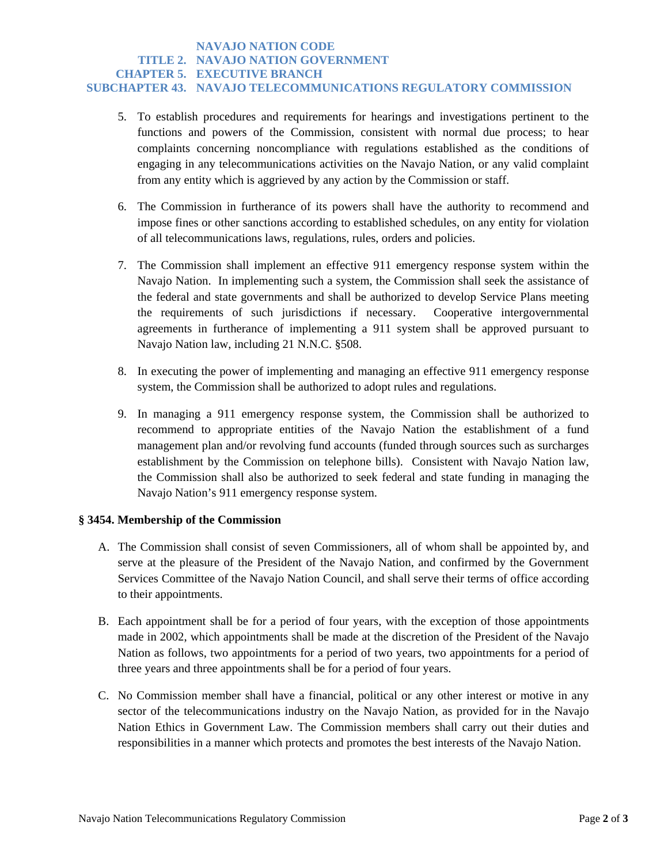# **NAVAJO NATION CODE TITLE 2. NAVAJO NATION GOVERNMENT CHAPTER 5. EXECUTIVE BRANCH SUBCHAPTER 43. NAVAJO TELECOMMUNICATIONS REGULATORY COMMISSION**

- 5. To establish procedures and requirements for hearings and investigations pertinent to the functions and powers of the Commission, consistent with normal due process; to hear complaints concerning noncompliance with regulations established as the conditions of engaging in any telecommunications activities on the Navajo Nation, or any valid complaint from any entity which is aggrieved by any action by the Commission or staff.
- 6. The Commission in furtherance of its powers shall have the authority to recommend and impose fines or other sanctions according to established schedules, on any entity for violation of all telecommunications laws, regulations, rules, orders and policies.
- 7. The Commission shall implement an effective 911 emergency response system within the Navajo Nation. In implementing such a system, the Commission shall seek the assistance of the federal and state governments and shall be authorized to develop Service Plans meeting the requirements of such jurisdictions if necessary. Cooperative intergovernmental agreements in furtherance of implementing a 911 system shall be approved pursuant to Navajo Nation law, including 21 N.N.C. §508.
- 8. In executing the power of implementing and managing an effective 911 emergency response system, the Commission shall be authorized to adopt rules and regulations.
- 9. In managing a 911 emergency response system, the Commission shall be authorized to recommend to appropriate entities of the Navajo Nation the establishment of a fund management plan and/or revolving fund accounts (funded through sources such as surcharges establishment by the Commission on telephone bills). Consistent with Navajo Nation law, the Commission shall also be authorized to seek federal and state funding in managing the Navajo Nation's 911 emergency response system.

# **§ 3454. Membership of the Commission**

- A. The Commission shall consist of seven Commissioners, all of whom shall be appointed by, and serve at the pleasure of the President of the Navajo Nation, and confirmed by the Government Services Committee of the Navajo Nation Council, and shall serve their terms of office according to their appointments.
- B. Each appointment shall be for a period of four years, with the exception of those appointments made in 2002, which appointments shall be made at the discretion of the President of the Navajo Nation as follows, two appointments for a period of two years, two appointments for a period of three years and three appointments shall be for a period of four years.
- C. No Commission member shall have a financial, political or any other interest or motive in any sector of the telecommunications industry on the Navajo Nation, as provided for in the Navajo Nation Ethics in Government Law. The Commission members shall carry out their duties and responsibilities in a manner which protects and promotes the best interests of the Navajo Nation.